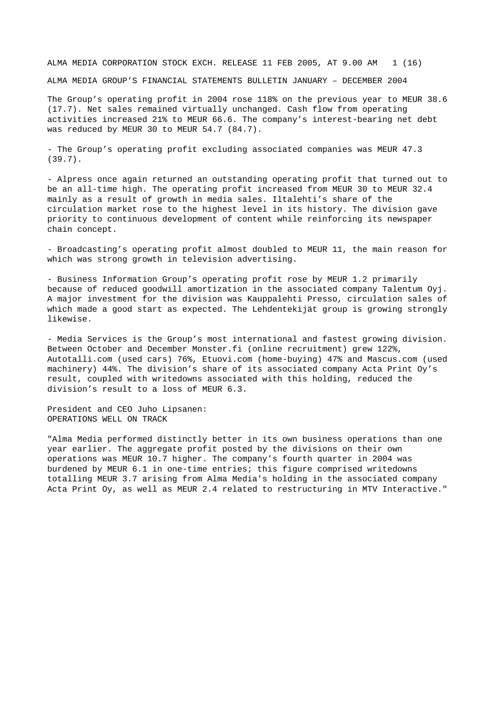ALMA MEDIA CORPORATION STOCK EXCH. RELEASE 11 FEB 2005, AT 9.00 AM 1 (16) ALMA MEDIA GROUP'S FINANCIAL STATEMENTS BULLETIN JANUARY – DECEMBER 2004

The Group's operating profit in 2004 rose 118% on the previous year to MEUR 38.6 (17.7). Net sales remained virtually unchanged. Cash flow from operating activities increased 21% to MEUR 66.6. The company's interest-bearing net debt was reduced by MEUR 30 to MEUR 54.7 (84.7).

- The Group's operating profit excluding associated companies was MEUR 47.3 (39.7).

- Alpress once again returned an outstanding operating profit that turned out to be an all-time high. The operating profit increased from MEUR 30 to MEUR 32.4 mainly as a result of growth in media sales. Iltalehti's share of the circulation market rose to the highest level in its history. The division gave priority to continuous development of content while reinforcing its newspaper chain concept.

- Broadcasting's operating profit almost doubled to MEUR 11, the main reason for which was strong growth in television advertising.

- Business Information Group's operating profit rose by MEUR 1.2 primarily because of reduced goodwill amortization in the associated company Talentum Oyj. A major investment for the division was Kauppalehti Presso, circulation sales of which made a good start as expected. The Lehdentekijät group is growing strongly likewise.

- Media Services is the Group's most international and fastest growing division. Between October and December Monster.fi (online recruitment) grew 122%, Autotalli.com (used cars) 76%, Etuovi.com (home-buying) 47% and Mascus.com (used machinery) 44%. The division's share of its associated company Acta Print Oy's result, coupled with writedowns associated with this holding, reduced the division's result to a loss of MEUR 6.3.

President and CEO Juho Lipsanen: OPERATIONS WELL ON TRACK

"Alma Media performed distinctly better in its own business operations than one year earlier. The aggregate profit posted by the divisions on their own operations was MEUR 10.7 higher. The company's fourth quarter in 2004 was burdened by MEUR 6.1 in one-time entries; this figure comprised writedowns totalling MEUR 3.7 arising from Alma Media's holding in the associated company Acta Print Oy, as well as MEUR 2.4 related to restructuring in MTV Interactive."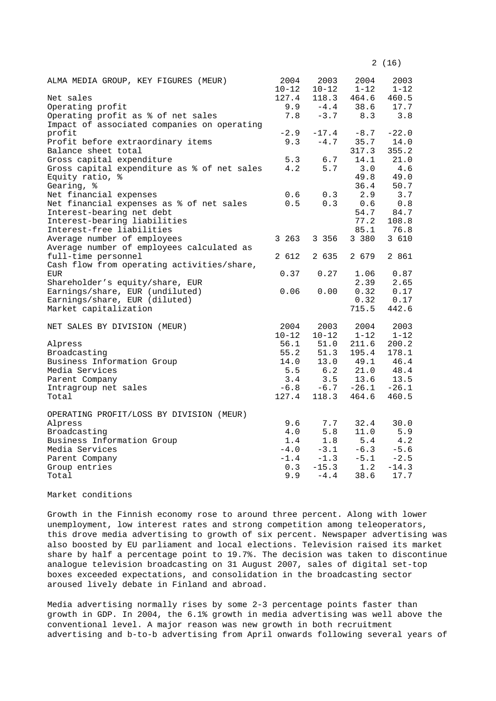|  | 2 (16) |  |  |  |  |
|--|--------|--|--|--|--|
|--|--------|--|--|--|--|

| ALMA MEDIA GROUP, KEY FIGURES (MEUR)        | 2004      | 2003      | 2004     | 2003     |
|---------------------------------------------|-----------|-----------|----------|----------|
|                                             | $10 - 12$ | $10 - 12$ | $1 - 12$ | $1 - 12$ |
| Net sales                                   | 127.4     | 118.3     | 464.6    | 460.5    |
| Operating profit                            | 9.9       | $-4.4$    | 38.6     | 17.7     |
| Operating profit as % of net sales          | 7.8       | $-3.7$    | 8.3      | 3.8      |
| Impact of associated companies on operating |           |           |          |          |
| profit                                      | $-2.9$    | $-17.4$   | $-8.7$   | $-22.0$  |
| Profit before extraordinary items           | 9.3       | $-4.7$    | 35.7     | 14.0     |
| Balance sheet total                         |           |           | 317.3    | 355.2    |
| Gross capital expenditure                   | 5.3       | 6.7       | 14.1     | 21.0     |
| Gross capital expenditure as % of net sales | 4.2       | 5.7       | 3.0      | 4.6      |
| Equity ratio, %                             |           |           | 49.8     | 49.0     |
| Gearing, %                                  |           |           | 36.4     | 50.7     |
| Net financial expenses                      | 0.6       | 0.3       | 2.9      | 3.7      |
| Net financial expenses as % of net sales    | 0.5       | 0.3       | 0.6      | 0.8      |
| Interest-bearing net debt                   |           |           | 54.7     | 84.7     |
| Interest-bearing liabilities                |           |           | 77.2     | 108.8    |
| Interest-free liabilities                   |           |           | 85.1     | 76.8     |
| Average number of employees                 | 3 263     | 3 3 5 6   | 3 380    | 3 610    |
| Average number of employees calculated as   |           |           |          |          |
| full-time personnel                         | 2 612     | 2 635     | 2 679    | 2 861    |
| Cash flow from operating activities/share,  |           |           |          |          |
| EUR                                         | 0.37      | 0.27      | 1.06     | 0.87     |
| Shareholder's equity/share, EUR             |           |           | 2.39     | 2.65     |
| Earnings/share, EUR (undiluted)             | 0.06      | 0.00      | 0.32     | 0.17     |
| Earnings/share, EUR (diluted)               |           |           | 0.32     | 0.17     |
| Market capitalization                       |           |           | 715.5    | 442.6    |
|                                             |           |           |          |          |
| NET SALES BY DIVISION (MEUR)                | 2004      | 2003      | 2004     | 2003     |
|                                             | $10 - 12$ | $10 - 12$ | $1 - 12$ | $1 - 12$ |
| Alpress                                     | 56.1      | 51.0      | 211.6    | 200.2    |
| Broadcasting                                | 55.2      | 51.3      | 195.4    | 178.1    |
| Business Information Group                  | 14.0      | 13.0      | 49.1     | 46.4     |
| Media Services                              | 5.5       | 6.2       | 21.0     | 48.4     |
| Parent Company                              | 3.4       | 3.5       | 13.6     | 13.5     |
| Intragroup net sales                        | $-6.8$    | $-6.7$    | $-26.1$  | $-26.1$  |
| Total                                       | 127.4     | 118.3     | 464.6    | 460.5    |
|                                             |           |           |          |          |
| OPERATING PROFIT/LOSS BY DIVISION (MEUR)    |           |           |          |          |
| Alpress                                     | 9.6       | 7.7       | 32.4     | 30.0     |
| Broadcasting                                | 4.0       | 5.8       | 11.0     | 5.9      |
| Business Information Group                  | 1.4       | 1.8       | 5.4      | 4.2      |
| Media Services                              | $-4.0$    | $-3.1$    | $-6.3$   | $-5.6$   |
| Parent Company                              | $-1.4$    | $-1.3$    | $-5.1$   | $-2.5$   |
| Group entries                               | 0.3       | $-15.3$   | 1.2      | $-14.3$  |
| Total                                       | 9.9       | $-4.4$    | 38.6     | 17.7     |

### Market conditions

Growth in the Finnish economy rose to around three percent. Along with lower unemployment, low interest rates and strong competition among teleoperators, this drove media advertising to growth of six percent. Newspaper advertising was also boosted by EU parliament and local elections. Television raised its market share by half a percentage point to 19.7%. The decision was taken to discontinue analogue television broadcasting on 31 August 2007, sales of digital set-top boxes exceeded expectations, and consolidation in the broadcasting sector aroused lively debate in Finland and abroad.

Media advertising normally rises by some 2-3 percentage points faster than growth in GDP. In 2004, the 6.1% growth in media advertising was well above the conventional level. A major reason was new growth in both recruitment advertising and b-to-b advertising from April onwards following several years of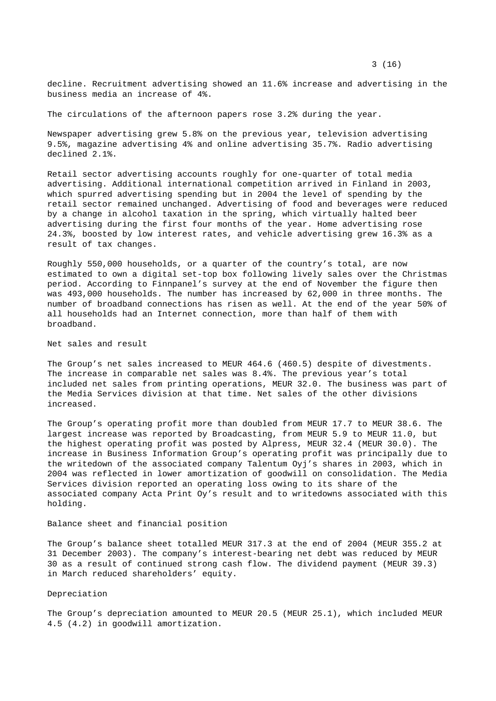decline. Recruitment advertising showed an 11.6% increase and advertising in the business media an increase of 4%.

The circulations of the afternoon papers rose 3.2% during the year.

Newspaper advertising grew 5.8% on the previous year, television advertising 9.5%, magazine advertising 4% and online advertising 35.7%. Radio advertising declined 2.1%.

Retail sector advertising accounts roughly for one-quarter of total media advertising. Additional international competition arrived in Finland in 2003, which spurred advertising spending but in 2004 the level of spending by the retail sector remained unchanged. Advertising of food and beverages were reduced by a change in alcohol taxation in the spring, which virtually halted beer advertising during the first four months of the year. Home advertising rose 24.3%, boosted by low interest rates, and vehicle advertising grew 16.3% as a result of tax changes.

Roughly 550,000 households, or a quarter of the country's total, are now estimated to own a digital set-top box following lively sales over the Christmas period. According to Finnpanel's survey at the end of November the figure then was 493,000 households. The number has increased by 62,000 in three months. The number of broadband connections has risen as well. At the end of the year 50% of all households had an Internet connection, more than half of them with broadband.

Net sales and result

The Group's net sales increased to MEUR 464.6 (460.5) despite of divestments. The increase in comparable net sales was 8.4%. The previous year's total included net sales from printing operations, MEUR 32.0. The business was part of the Media Services division at that time. Net sales of the other divisions increased.

The Group's operating profit more than doubled from MEUR 17.7 to MEUR 38.6. The largest increase was reported by Broadcasting, from MEUR 5.9 to MEUR 11.0, but the highest operating profit was posted by Alpress, MEUR 32.4 (MEUR 30.0). The increase in Business Information Group's operating profit was principally due to the writedown of the associated company Talentum Oyj's shares in 2003, which in 2004 was reflected in lower amortization of goodwill on consolidation. The Media Services division reported an operating loss owing to its share of the associated company Acta Print Oy's result and to writedowns associated with this holding.

Balance sheet and financial position

The Group's balance sheet totalled MEUR 317.3 at the end of 2004 (MEUR 355.2 at 31 December 2003). The company's interest-bearing net debt was reduced by MEUR 30 as a result of continued strong cash flow. The dividend payment (MEUR 39.3) in March reduced shareholders' equity.

Depreciation

The Group's depreciation amounted to MEUR 20.5 (MEUR 25.1), which included MEUR 4.5 (4.2) in goodwill amortization.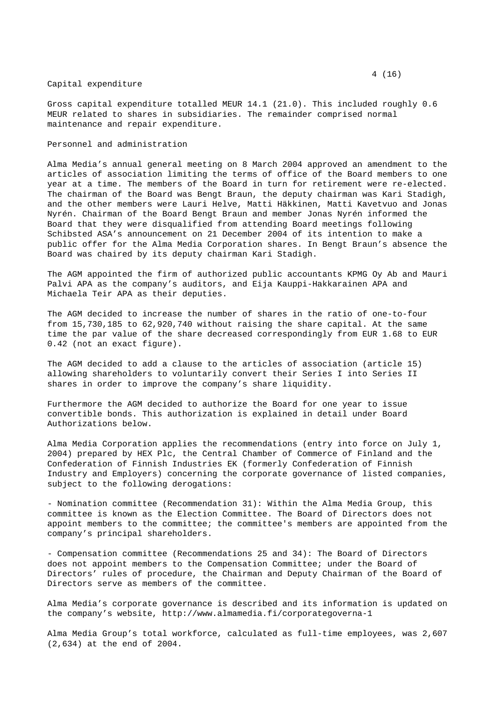#### Capital expenditure

Gross capital expenditure totalled MEUR 14.1 (21.0). This included roughly 0.6 MEUR related to shares in subsidiaries. The remainder comprised normal maintenance and repair expenditure.

## Personnel and administration

Alma Media's annual general meeting on 8 March 2004 approved an amendment to the articles of association limiting the terms of office of the Board members to one year at a time. The members of the Board in turn for retirement were re-elected. The chairman of the Board was Bengt Braun, the deputy chairman was Kari Stadigh, and the other members were Lauri Helve, Matti Häkkinen, Matti Kavetvuo and Jonas Nyrén. Chairman of the Board Bengt Braun and member Jonas Nyrén informed the Board that they were disqualified from attending Board meetings following Schibsted ASA's announcement on 21 December 2004 of its intention to make a public offer for the Alma Media Corporation shares. In Bengt Braun's absence the Board was chaired by its deputy chairman Kari Stadigh.

The AGM appointed the firm of authorized public accountants KPMG Oy Ab and Mauri Palvi APA as the company's auditors, and Eija Kauppi-Hakkarainen APA and Michaela Teir APA as their deputies.

The AGM decided to increase the number of shares in the ratio of one-to-four from 15,730,185 to 62,920,740 without raising the share capital. At the same time the par value of the share decreased correspondingly from EUR 1.68 to EUR 0.42 (not an exact figure).

The AGM decided to add a clause to the articles of association (article 15) allowing shareholders to voluntarily convert their Series I into Series II shares in order to improve the company's share liquidity.

Furthermore the AGM decided to authorize the Board for one year to issue convertible bonds. This authorization is explained in detail under Board Authorizations below.

Alma Media Corporation applies the recommendations (entry into force on July 1, 2004) prepared by HEX Plc, the Central Chamber of Commerce of Finland and the Confederation of Finnish Industries EK (formerly Confederation of Finnish Industry and Employers) concerning the corporate governance of listed companies, subject to the following derogations:

- Nomination committee (Recommendation 31): Within the Alma Media Group, this committee is known as the Election Committee. The Board of Directors does not appoint members to the committee; the committee's members are appointed from the company's principal shareholders.

- Compensation committee (Recommendations 25 and 34): The Board of Directors does not appoint members to the Compensation Committee; under the Board of Directors' rules of procedure, the Chairman and Deputy Chairman of the Board of Directors serve as members of the committee.

Alma Media's corporate governance is described and its information is updated on the company's website, http://www.almamedia.fi/corporategoverna-1

Alma Media Group's total workforce, calculated as full-time employees, was 2,607 (2,634) at the end of 2004.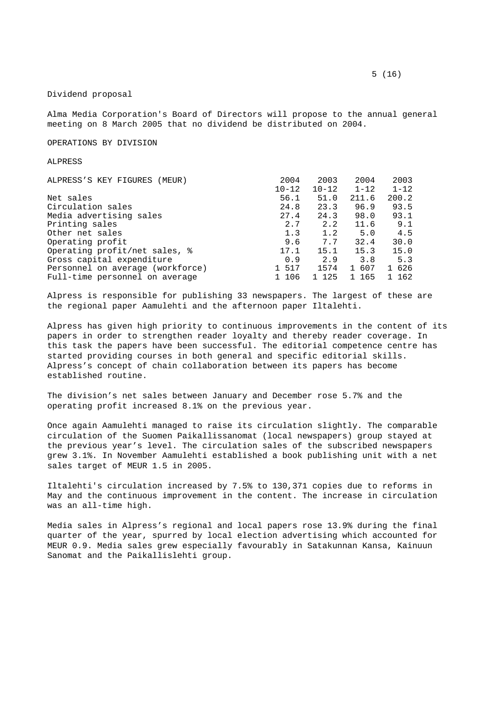Dividend proposal

Alma Media Corporation's Board of Directors will propose to the annual general meeting on 8 March 2005 that no dividend be distributed on 2004.

OPERATIONS BY DIVISION

ALPRESS

| ALPRESS'S KEY FIGURES (MEUR)     | 2004      | 2003      | 2004     | 2003     |
|----------------------------------|-----------|-----------|----------|----------|
|                                  | $10 - 12$ | $10 - 12$ | $1 - 12$ | $1 - 12$ |
| Net sales                        | 56.1      | 51.0      | 211.6    | 200.2    |
| Circulation sales                | 24.8      | 23.3      | 96.9     | 93.5     |
| Media advertising sales          | 27.4      | 24.3      | 98.0     | 93.1     |
| Printing sales                   | 2.7       | 2.2       | 11.6     | 9.1      |
| Other net sales                  | 1.3       | 1.2       | 5.0      | 4.5      |
| Operating profit                 | 9.6       | 7.7       | 32.4     | 30.0     |
| Operating profit/net sales, %    | 17.1      | 15.1      | 15.3     | 15.0     |
| Gross capital expenditure        | 0.9       | 2.9       | 3.8      | 5.3      |
| Personnel on average (workforce) | 1 517     | 1574      | 1 607    | 1 626    |
| Full-time personnel on average   | 1 106     | 1 125     | 1 165    | 162      |

Alpress is responsible for publishing 33 newspapers. The largest of these are the regional paper Aamulehti and the afternoon paper Iltalehti.

Alpress has given high priority to continuous improvements in the content of its papers in order to strengthen reader loyalty and thereby reader coverage. In this task the papers have been successful. The editorial competence centre has started providing courses in both general and specific editorial skills. Alpress's concept of chain collaboration between its papers has become established routine.

The division's net sales between January and December rose 5.7% and the operating profit increased 8.1% on the previous year.

Once again Aamulehti managed to raise its circulation slightly. The comparable circulation of the Suomen Paikallissanomat (local newspapers) group stayed at the previous year's level. The circulation sales of the subscribed newspapers grew 3.1%. In November Aamulehti established a book publishing unit with a net sales target of MEUR 1.5 in 2005.

Iltalehti's circulation increased by 7.5% to 130,371 copies due to reforms in May and the continuous improvement in the content. The increase in circulation was an all-time high.

Media sales in Alpress's regional and local papers rose 13.9% during the final quarter of the year, spurred by local election advertising which accounted for MEUR 0.9. Media sales grew especially favourably in Satakunnan Kansa, Kainuun Sanomat and the Paikallislehti group.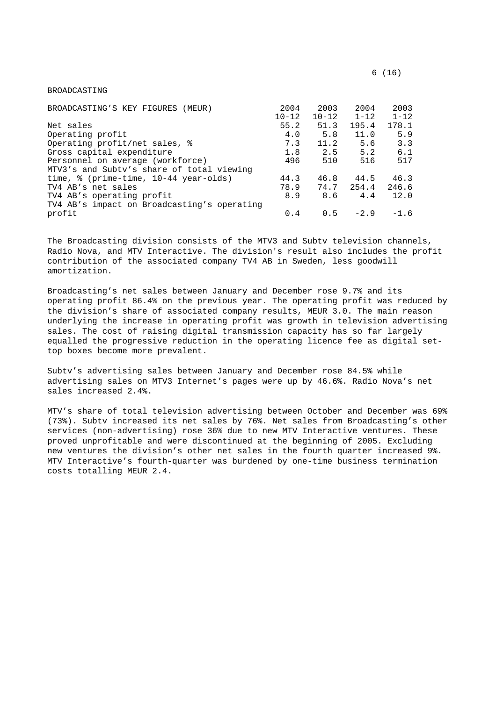### BROADCASTING

| BROADCASTING'S KEY FIGURES (MEUR)           | 2004      | 2003      | 2004     | 2003     |
|---------------------------------------------|-----------|-----------|----------|----------|
|                                             | $10 - 12$ | $10 - 12$ | $1 - 12$ | $1 - 12$ |
| Net sales                                   | 55.2      | 51.3      | 195.4    | 178.1    |
| Operating profit                            | 4.0       | 5.8       | 11.0     | 5.9      |
| Operating profit/net sales, %               | 7.3       | 11.2      | 5.6      | 3.3      |
| Gross capital expenditure                   | 1.8       | 2.5       | 5.2      | 6.1      |
| Personnel on average (workforce)            | 496       | 510       | 516      | 517      |
| MTV3's and Subtv's share of total viewing   |           |           |          |          |
| time, % (prime-time, 10-44 year-olds)       | 44.3      | 46.8      | 44.5     | 46.3     |
| TV4 AB's net sales                          | 78.9      | 74.7      | 254.4    | 246.6    |
| TV4 AB's operating profit                   | 8.9       | 8.6       | 4.4      | 12.0     |
| TV4 AB's impact on Broadcasting's operating |           |           |          |          |
| profit                                      | 0.4       | 0.5       | $-2.9$   | $-1.6$   |

The Broadcasting division consists of the MTV3 and Subtv television channels, Radio Nova, and MTV Interactive. The division's result also includes the profit contribution of the associated company TV4 AB in Sweden, less goodwill amortization.

Broadcasting's net sales between January and December rose 9.7% and its operating profit 86.4% on the previous year. The operating profit was reduced by the division's share of associated company results, MEUR 3.0. The main reason underlying the increase in operating profit was growth in television advertising sales. The cost of raising digital transmission capacity has so far largely equalled the progressive reduction in the operating licence fee as digital settop boxes become more prevalent.

Subtv's advertising sales between January and December rose 84.5% while advertising sales on MTV3 Internet's pages were up by 46.6%. Radio Nova's net sales increased 2.4%.

MTV's share of total television advertising between October and December was 69% (73%). Subtv increased its net sales by 76%. Net sales from Broadcasting's other services (non-advertising) rose 36% due to new MTV Interactive ventures. These proved unprofitable and were discontinued at the beginning of 2005. Excluding new ventures the division's other net sales in the fourth quarter increased 9%. MTV Interactive's fourth-quarter was burdened by one-time business termination costs totalling MEUR 2.4.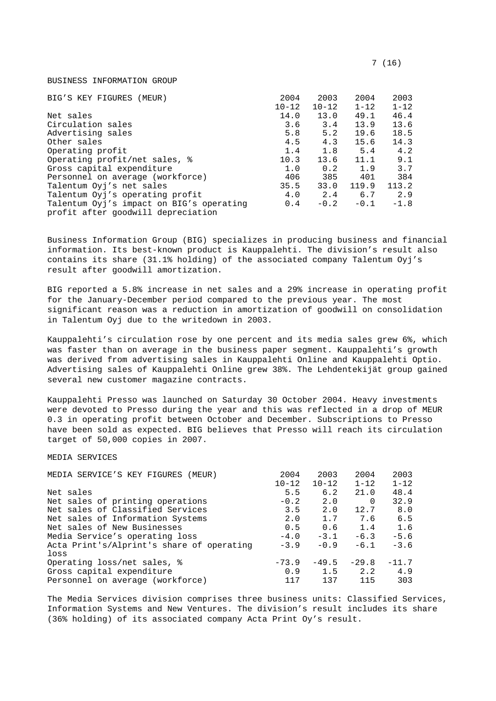$7(16)$ 

# BUSINESS INFORMATION GROUP

| 2004      | 2003      | 2004       | 2003     |
|-----------|-----------|------------|----------|
| $10 - 12$ | $10 - 12$ | $1 - 12$   | $1 - 12$ |
| 14.0      | 13.0      | 49.1       | 46.4     |
| 3.6       | 3.4       | 13.9       | 13.6     |
|           | 5.2       | 19.6       | 18.5     |
| 4.5       | 4.3       | 15.6       | 14.3     |
| 1.4       | 1.8       | 5.4        | 4.2      |
| 10.3      |           | 11.1       | 9.1      |
| 1.0       | 0.2       | 1.9        | 3.7      |
| 406       | 385       | 401        | 384      |
| 35.5      | 33.0      | 119.9      | 113.2    |
|           | 2.4       | 6.7        | 2.9      |
| 0.4       | $-0.2$    | $-0.1$     | $-1.8$   |
|           |           |            |          |
|           |           | 5.8<br>4.0 | 13.6     |

Business Information Group (BIG) specializes in producing business and financial information. Its best-known product is Kauppalehti. The division's result also contains its share (31.1% holding) of the associated company Talentum Oyj's result after goodwill amortization.

BIG reported a 5.8% increase in net sales and a 29% increase in operating profit for the January-December period compared to the previous year. The most significant reason was a reduction in amortization of goodwill on consolidation in Talentum Oyj due to the writedown in 2003.

Kauppalehti's circulation rose by one percent and its media sales grew 6%, which was faster than on average in the business paper segment. Kauppalehti's growth was derived from advertising sales in Kauppalehti Online and Kauppalehti Optio. Advertising sales of Kauppalehti Online grew 38%. The Lehdentekijät group gained several new customer magazine contracts.

Kauppalehti Presso was launched on Saturday 30 October 2004. Heavy investments were devoted to Presso during the year and this was reflected in a drop of MEUR 0.3 in operating profit between October and December. Subscriptions to Presso have been sold as expected. BIG believes that Presso will reach its circulation target of 50,000 copies in 2007.

#### MEDIA SERVICES

| MEDIA SERVICE'S KEY FIGURES (MEUR)        | 2004      | 2003      | 2004     | 2003     |
|-------------------------------------------|-----------|-----------|----------|----------|
|                                           | $10 - 12$ | $10 - 12$ | $1 - 12$ | $1 - 12$ |
| Net sales                                 | 5.5       | 6.2       | 21.0     | 48.4     |
| Net sales of printing operations          | $-0.2$    | 2.0       | $\Omega$ | 32.9     |
| Net sales of Classified Services          | 3.5       | 2.0       | 12.7     | 8.0      |
| Net sales of Information Systems          | 2.0       | 1.7       | 7.6      | 6.5      |
| Net sales of New Businesses               | 0.5       | 0.6       | 1.4      | 1.6      |
| Media Service's operating loss            | $-4.0$    | $-3.1$    | $-6.3$   | $-5.6$   |
| Acta Print's/Alprint's share of operating | $-3.9$    | $-0.9$    | $-6.1$   | $-3.6$   |
| loss                                      |           |           |          |          |
| Operating loss/net sales, %               | $-73.9$   | $-49.5$   | $-29.8$  | $-11.7$  |
| Gross capital expenditure                 | 0.9       | 1.5       | 2.2      | 4.9      |
| Personnel on average (workforce)          | 117       | 137       | 115      | 303      |

The Media Services division comprises three business units: Classified Services, Information Systems and New Ventures. The division's result includes its share (36% holding) of its associated company Acta Print Oy's result.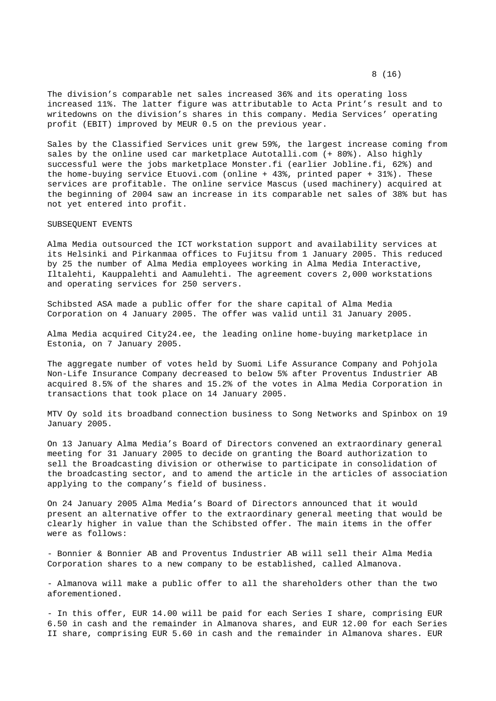The division's comparable net sales increased 36% and its operating loss increased 11%. The latter figure was attributable to Acta Print's result and to writedowns on the division's shares in this company. Media Services' operating profit (EBIT) improved by MEUR 0.5 on the previous year.

Sales by the Classified Services unit grew 59%, the largest increase coming from sales by the online used car marketplace Autotalli.com (+ 80%). Also highly successful were the jobs marketplace Monster.fi (earlier Jobline.fi, 62%) and the home-buying service Etuovi.com (online + 43%, printed paper + 31%). These services are profitable. The online service Mascus (used machinery) acquired at the beginning of 2004 saw an increase in its comparable net sales of 38% but has not yet entered into profit.

### SUBSEQUENT EVENTS

Alma Media outsourced the ICT workstation support and availability services at its Helsinki and Pirkanmaa offices to Fujitsu from 1 January 2005. This reduced by 25 the number of Alma Media employees working in Alma Media Interactive, Iltalehti, Kauppalehti and Aamulehti. The agreement covers 2,000 workstations and operating services for 250 servers.

Schibsted ASA made a public offer for the share capital of Alma Media Corporation on 4 January 2005. The offer was valid until 31 January 2005.

Alma Media acquired City24.ee, the leading online home-buying marketplace in Estonia, on 7 January 2005.

The aggregate number of votes held by Suomi Life Assurance Company and Pohjola Non-Life Insurance Company decreased to below 5% after Proventus Industrier AB acquired 8.5% of the shares and 15.2% of the votes in Alma Media Corporation in transactions that took place on 14 January 2005.

MTV Oy sold its broadband connection business to Song Networks and Spinbox on 19 January 2005.

On 13 January Alma Media's Board of Directors convened an extraordinary general meeting for 31 January 2005 to decide on granting the Board authorization to sell the Broadcasting division or otherwise to participate in consolidation of the broadcasting sector, and to amend the article in the articles of association applying to the company's field of business.

On 24 January 2005 Alma Media's Board of Directors announced that it would present an alternative offer to the extraordinary general meeting that would be clearly higher in value than the Schibsted offer. The main items in the offer were as follows:

- Bonnier & Bonnier AB and Proventus Industrier AB will sell their Alma Media Corporation shares to a new company to be established, called Almanova.

- Almanova will make a public offer to all the shareholders other than the two aforementioned.

- In this offer, EUR 14.00 will be paid for each Series I share, comprising EUR 6.50 in cash and the remainder in Almanova shares, and EUR 12.00 for each Series II share, comprising EUR 5.60 in cash and the remainder in Almanova shares. EUR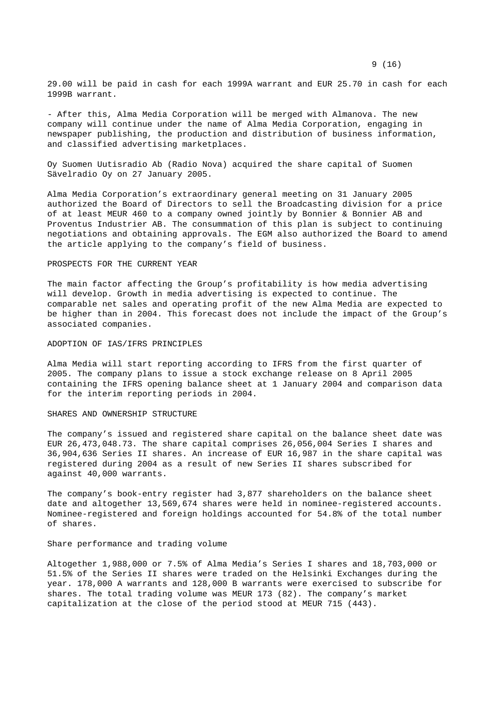29.00 will be paid in cash for each 1999A warrant and EUR 25.70 in cash for each 1999B warrant.

- After this, Alma Media Corporation will be merged with Almanova. The new company will continue under the name of Alma Media Corporation, engaging in newspaper publishing, the production and distribution of business information, and classified advertising marketplaces.

Oy Suomen Uutisradio Ab (Radio Nova) acquired the share capital of Suomen Sävelradio Oy on 27 January 2005.

Alma Media Corporation's extraordinary general meeting on 31 January 2005 authorized the Board of Directors to sell the Broadcasting division for a price of at least MEUR 460 to a company owned jointly by Bonnier & Bonnier AB and Proventus Industrier AB. The consummation of this plan is subject to continuing negotiations and obtaining approvals. The EGM also authorized the Board to amend the article applying to the company's field of business.

### PROSPECTS FOR THE CURRENT YEAR

The main factor affecting the Group's profitability is how media advertising will develop. Growth in media advertising is expected to continue. The comparable net sales and operating profit of the new Alma Media are expected to be higher than in 2004. This forecast does not include the impact of the Group's associated companies.

# ADOPTION OF IAS/IFRS PRINCIPLES

Alma Media will start reporting according to IFRS from the first quarter of 2005. The company plans to issue a stock exchange release on 8 April 2005 containing the IFRS opening balance sheet at 1 January 2004 and comparison data for the interim reporting periods in 2004.

#### SHARES AND OWNERSHIP STRUCTURE

The company's issued and registered share capital on the balance sheet date was EUR 26,473,048.73. The share capital comprises 26,056,004 Series I shares and 36,904,636 Series II shares. An increase of EUR 16,987 in the share capital was registered during 2004 as a result of new Series II shares subscribed for against 40,000 warrants.

The company's book-entry register had 3,877 shareholders on the balance sheet date and altogether 13,569,674 shares were held in nominee-registered accounts. Nominee-registered and foreign holdings accounted for 54.8% of the total number of shares.

#### Share performance and trading volume

Altogether 1,988,000 or 7.5% of Alma Media's Series I shares and 18,703,000 or 51.5% of the Series II shares were traded on the Helsinki Exchanges during the year. 178,000 A warrants and 128,000 B warrants were exercised to subscribe for shares. The total trading volume was MEUR 173 (82). The company's market capitalization at the close of the period stood at MEUR 715 (443).

### 9 (16)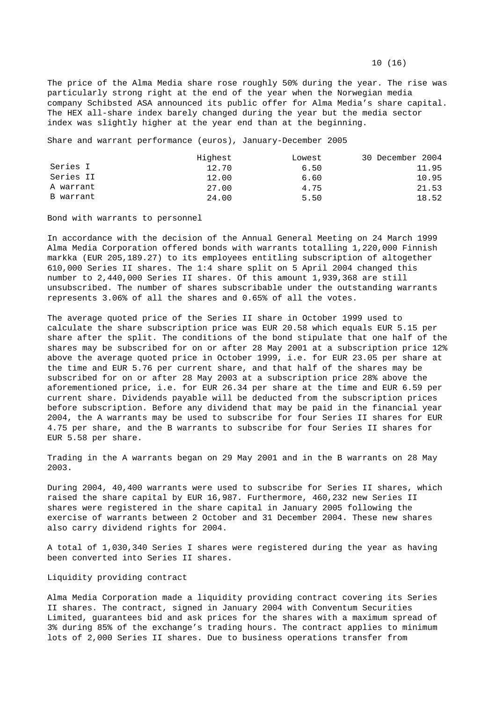The price of the Alma Media share rose roughly 50% during the year. The rise was particularly strong right at the end of the year when the Norwegian media company Schibsted ASA announced its public offer for Alma Media's share capital. The HEX all-share index barely changed during the year but the media sector index was slightly higher at the year end than at the beginning.

Share and warrant performance (euros), January-December 2005

|           | Highest | Lowest | 30 December 2004 |
|-----------|---------|--------|------------------|
| Series I  | 12.70   | 6.50   | 11.95            |
| Series II | 12.00   | 6.60   | 10.95            |
| A warrant | 27.00   | 4.75   | 21.53            |
| B warrant | 24.00   | 5.50   | 18.52            |

Bond with warrants to personnel

In accordance with the decision of the Annual General Meeting on 24 March 1999 Alma Media Corporation offered bonds with warrants totalling 1,220,000 Finnish markka (EUR 205,189.27) to its employees entitling subscription of altogether 610,000 Series II shares. The 1:4 share split on 5 April 2004 changed this number to 2,440,000 Series II shares. Of this amount 1,939,368 are still unsubscribed. The number of shares subscribable under the outstanding warrants represents 3.06% of all the shares and 0.65% of all the votes.

The average quoted price of the Series II share in October 1999 used to calculate the share subscription price was EUR 20.58 which equals EUR 5.15 per share after the split. The conditions of the bond stipulate that one half of the shares may be subscribed for on or after 28 May 2001 at a subscription price 12% above the average quoted price in October 1999, i.e. for EUR 23.05 per share at the time and EUR 5.76 per current share, and that half of the shares may be subscribed for on or after 28 May 2003 at a subscription price 28% above the aforementioned price, i.e. for EUR 26.34 per share at the time and EUR 6.59 per current share. Dividends payable will be deducted from the subscription prices before subscription. Before any dividend that may be paid in the financial year 2004, the A warrants may be used to subscribe for four Series II shares for EUR 4.75 per share, and the B warrants to subscribe for four Series II shares for EUR 5.58 per share.

Trading in the A warrants began on 29 May 2001 and in the B warrants on 28 May 2003.

During 2004, 40,400 warrants were used to subscribe for Series II shares, which raised the share capital by EUR 16,987. Furthermore, 460,232 new Series II shares were registered in the share capital in January 2005 following the exercise of warrants between 2 October and 31 December 2004. These new shares also carry dividend rights for 2004.

A total of 1,030,340 Series I shares were registered during the year as having been converted into Series II shares.

Liquidity providing contract

Alma Media Corporation made a liquidity providing contract covering its Series II shares. The contract, signed in January 2004 with Conventum Securities Limited, guarantees bid and ask prices for the shares with a maximum spread of 3% during 85% of the exchange's trading hours. The contract applies to minimum lots of 2,000 Series II shares. Due to business operations transfer from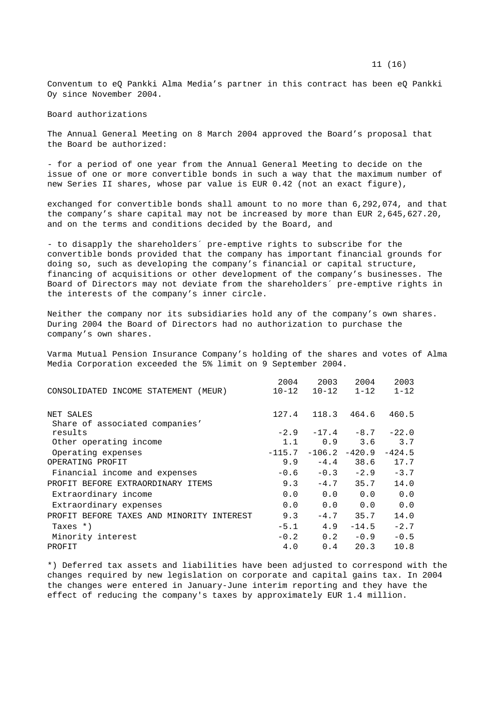11 (16)

Conventum to eQ Pankki Alma Media's partner in this contract has been eQ Pankki Oy since November 2004.

Board authorizations

The Annual General Meeting on 8 March 2004 approved the Board's proposal that the Board be authorized:

- for a period of one year from the Annual General Meeting to decide on the issue of one or more convertible bonds in such a way that the maximum number of new Series II shares, whose par value is EUR 0.42 (not an exact figure),

exchanged for convertible bonds shall amount to no more than 6,292,074, and that the company's share capital may not be increased by more than EUR 2,645,627.20, and on the terms and conditions decided by the Board, and

- to disapply the shareholders´ pre-emptive rights to subscribe for the convertible bonds provided that the company has important financial grounds for doing so, such as developing the company's financial or capital structure, financing of acquisitions or other development of the company's businesses. The Board of Directors may not deviate from the shareholders´ pre-emptive rights in the interests of the company's inner circle.

Neither the company nor its subsidiaries hold any of the company's own shares. During 2004 the Board of Directors had no authorization to purchase the company's own shares.

Varma Mutual Pension Insurance Company's holding of the shares and votes of Alma Media Corporation exceeded the 5% limit on 9 September 2004.

| CONSOLIDATED INCOME STATEMENT (MEUR)      | 2004<br>$10 - 12$ | 2003<br>$10 - 12$             | 2004<br>$1 - 12$ | 2003<br>$1 - 12$ |
|-------------------------------------------|-------------------|-------------------------------|------------------|------------------|
| NET SALES                                 |                   | 127.4 118.3 464.6             |                  | 460.5            |
| Share of associated companies'            |                   |                               |                  |                  |
| results                                   |                   | $-2.9$ $-17.4$ $-8.7$ $-22.0$ |                  |                  |
| Other operating income                    | 1.1               | 0.9                           | 3.6              | 3.7              |
| Operating expenses                        | $-115.7$          | $-106.2$ $-420.9$             |                  | $-424.5$         |
| OPERATING PROFIT                          | 9.9               | $-4.4$                        | 38.6             | 17.7             |
| Financial income and expenses             | $-0.6$            | $-0.3$                        | $-2.9$           | $-3.7$           |
| PROFIT BEFORE EXTRAORDINARY ITEMS         | 9.3               | $-4.7$                        | 35.7             | 14.0             |
| Extraordinary income                      | 0.0               | 0.0                           | 0.0              | 0.0              |
| Extraordinary expenses                    | 0.0               | 0.0                           | 0.0              | 0.0              |
| PROFIT BEFORE TAXES AND MINORITY INTEREST | 9.3               | $-4.7$                        | 35.7             | 14.0             |
| Taxes *)                                  | $-5.1$            | 4.9                           | $-14.5$          | $-2.7$           |
| Minority interest                         | $-0.2$            |                               | $0.2 - 0.9$      | $-0.5$           |
| PROFIT                                    | 4.0               | 0.4                           | 20.3             | 10.8             |

\*) Deferred tax assets and liabilities have been adjusted to correspond with the changes required by new legislation on corporate and capital gains tax. In 2004 the changes were entered in January-June interim reporting and they have the effect of reducing the company's taxes by approximately EUR 1.4 million.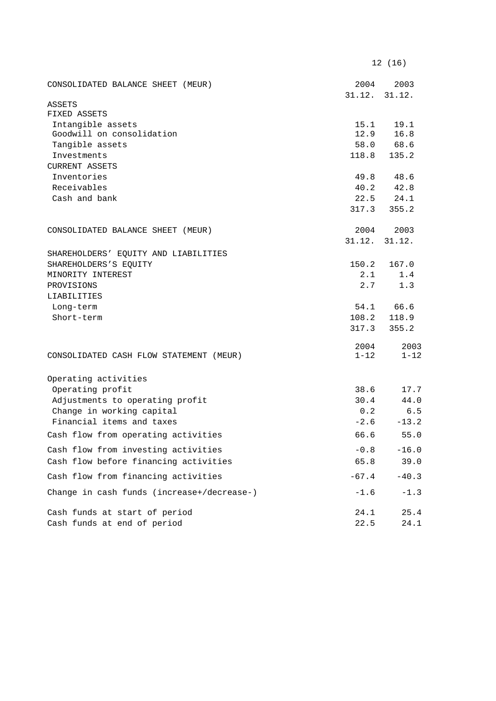|                                            |                  | 12 (16)          |
|--------------------------------------------|------------------|------------------|
| CONSOLIDATED BALANCE SHEET (MEUR)          | 2004<br>31.12.   | 2003<br>31.12.   |
| ASSETS<br>FIXED ASSETS                     |                  |                  |
| Intangible assets                          | 15.1             | 19.1             |
| Goodwill on consolidation                  | 12.9             | 16.8             |
| Tangible assets                            | 58.0             | 68.6             |
| Investments                                | 118.8            | 135.2            |
| <b>CURRENT ASSETS</b>                      |                  |                  |
| Inventories                                | 49.8             | 48.6             |
| Receivables<br>Cash and bank               | 40.2<br>22.5     | 42.8<br>24.1     |
|                                            |                  | $317.3$ $355.2$  |
| CONSOLIDATED BALANCE SHEET (MEUR)          | 2004             | 2003             |
|                                            |                  | 31.12. 31.12.    |
| SHAREHOLDERS' EQUITY AND LIABILITIES       |                  |                  |
| SHAREHOLDERS'S EQUITY                      |                  | 150.2 167.0      |
| MINORITY INTEREST                          | 2.1              | 1.4              |
| PROVISIONS                                 | 2.7              | 1.3              |
| LIABILITIES                                |                  |                  |
| Long-term                                  | 54.1             | 66.6             |
| Short-term                                 |                  | 108.2 118.9      |
|                                            | 317.3            | 355.2            |
| CONSOLIDATED CASH FLOW STATEMENT (MEUR)    | 2004<br>$1 - 12$ | 2003<br>$1 - 12$ |
| Operating activities                       |                  |                  |
| Operating profit                           | 38.6             | 17.7             |
| Adjustments to operating profit            | 30.4             | 44.0             |
| Change in working capital                  | 0.2              | 6.5              |
| Financial items and taxes                  | $-2.6$           | $-13.2$          |
| Cash flow from operating activities        | 66.6             | 55.0             |
| Cash flow from investing activities        | $-0.8$           | $-16.0$          |
| Cash flow before financing activities      | 65.8             | 39.0             |
| Cash flow from financing activities        | $-67.4$          | $-40.3$          |
| Change in cash funds (increase+/decrease-) | $-1.6$           | $-1.3$           |
| Cash funds at start of period              | 24.1             | 25.4             |
| Cash funds at end of period                | 22.5             | 24.1             |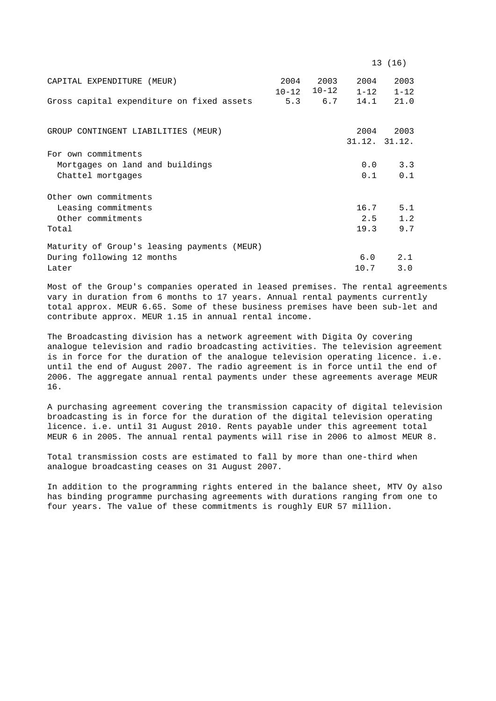|                                                             |  |                                          | 13 (16)               |
|-------------------------------------------------------------|--|------------------------------------------|-----------------------|
| CAPITAL EXPENDITURE (MEUR)                                  |  | 2004 2003 2004<br>$10-12$ $10-12$ $1-12$ | 2003<br>$1 - 12$      |
| Gross capital expenditure on fixed assets 5.3 6.7 14.1 21.0 |  |                                          |                       |
| GROUP CONTINGENT LIABILITIES (MEUR)                         |  | 2004                                     | 2003<br>31.12. 31.12. |
| For own commitments                                         |  |                                          |                       |
| Mortgages on land and buildings                             |  |                                          | $0.0$ 3.3             |
| Chattel mortgages                                           |  | 0.1                                      | 0.1                   |
| Other own commitments                                       |  |                                          |                       |
| Leasing commitments                                         |  |                                          | $16.7$ 5.1            |
| Other commitments                                           |  | 2.5                                      | 1.2                   |
| Total                                                       |  | 19.3                                     | 9.7                   |
| Maturity of Group's leasing payments (MEUR)                 |  |                                          |                       |
| During following 12 months                                  |  |                                          | $6.0 \t 2.1$          |
| Later                                                       |  | 10.7                                     | 3.0                   |

Most of the Group's companies operated in leased premises. The rental agreements vary in duration from 6 months to 17 years. Annual rental payments currently total approx. MEUR 6.65. Some of these business premises have been sub-let and contribute approx. MEUR 1.15 in annual rental income.

The Broadcasting division has a network agreement with Digita Oy covering analogue television and radio broadcasting activities. The television agreement is in force for the duration of the analogue television operating licence. i.e. until the end of August 2007. The radio agreement is in force until the end of 2006. The aggregate annual rental payments under these agreements average MEUR 16.

A purchasing agreement covering the transmission capacity of digital television broadcasting is in force for the duration of the digital television operating licence. i.e. until 31 August 2010. Rents payable under this agreement total MEUR 6 in 2005. The annual rental payments will rise in 2006 to almost MEUR 8.

Total transmission costs are estimated to fall by more than one-third when analogue broadcasting ceases on 31 August 2007.

In addition to the programming rights entered in the balance sheet, MTV Oy also has binding programme purchasing agreements with durations ranging from one to four years. The value of these commitments is roughly EUR 57 million.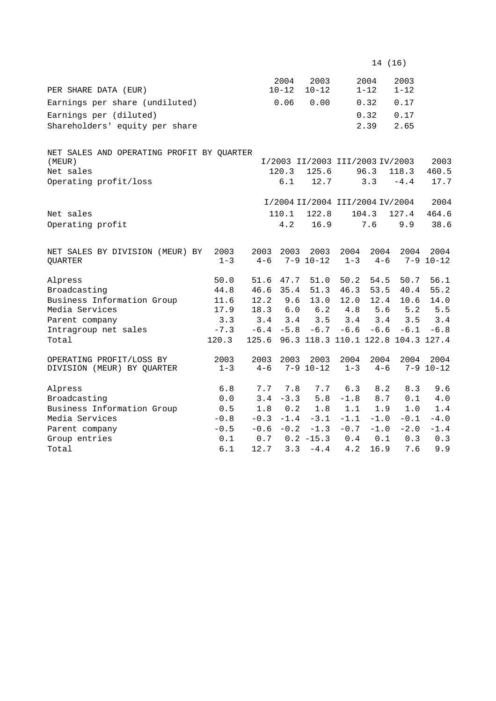|                                                        |                 |                 |                   |                                    |                 | 14 (16)          |                  |                       |
|--------------------------------------------------------|-----------------|-----------------|-------------------|------------------------------------|-----------------|------------------|------------------|-----------------------|
| PER SHARE DATA (EUR)                                   |                 |                 | 2004<br>$10 - 12$ | 2003<br>$10 - 12$                  |                 | 2004<br>$1 - 12$ | 2003<br>$1 - 12$ |                       |
| Earnings per share (undiluted)                         |                 |                 | 0.06              | 0.00                               |                 | 0.32             | 0.17             |                       |
|                                                        |                 |                 |                   |                                    |                 |                  |                  |                       |
| Earnings per (diluted)                                 |                 |                 |                   |                                    |                 | 0.32             | 0.17             |                       |
| Shareholders' equity per share                         |                 |                 |                   |                                    |                 | 2.39             | 2.65             |                       |
| NET SALES AND OPERATING PROFIT BY QUARTER              |                 |                 |                   |                                    |                 |                  |                  |                       |
| (MEUR)                                                 |                 |                 |                   | I/2003 II/2003 III/2003 IV/2003    |                 |                  |                  | 2003                  |
| Net sales                                              |                 |                 | 120.3             | 125.6                              |                 | 96.3             | 118.3            | 460.5                 |
| Operating profit/loss                                  |                 |                 | 6.1               | 12.7                               |                 | 3.3              | $-4.4$           | 17.7                  |
|                                                        |                 |                 |                   | I/2004 II/2004 III/2004 IV/2004    |                 |                  |                  | 2004                  |
| Net sales                                              |                 |                 | 110.1             | 122.8                              |                 | 104.3            | 127.4            | 464.6                 |
| Operating profit                                       |                 |                 | 4.2               | 16.9                               |                 | 7.6              | 9.9              | 38.6                  |
| NET SALES BY DIVISION (MEUR) BY<br><b>QUARTER</b>      | 2003<br>$1 - 3$ | 2003<br>$4 - 6$ | 2003              | 2003<br>$7 - 9$ 10-12              | 2004<br>$1 - 3$ | 2004<br>$4 - 6$  | 2004             | 2004<br>$7 - 9$ 10-12 |
| Alpress                                                | 50.0            |                 | 51.6 47.7         | 51.0                               | 50.2            | 54.5             | 50.7             | 56.1                  |
| Broadcasting                                           | 44.8            |                 | 46.6 35.4         | 51.3                               | 46.3            | 53.5             | 40.4             | 55.2                  |
| Business Information Group                             | 11.6            | 12.2            | 9.6               | 13.0                               | 12.0            | 12.4             | 10.6             | 14.0                  |
| Media Services                                         | 17.9            | 18.3            | 6.0               | 6.2                                | 4.8             | 5.6              | 5.2              | 5.5                   |
| Parent company                                         | 3.3             | 3.4             | 3.4               | 3.5                                | 3.4             | 3.4              | 3.5              | 3.4                   |
| Intragroup net sales                                   | $-7.3$          |                 |                   | $-6.4$ $-5.8$ $-6.7$ $-6.6$        |                 | $-6.6$           | $-6.1$           | $-6.8$                |
| Total                                                  | 120.3           | 125.6           |                   | 96.3 118.3 110.1 122.8 104.3 127.4 |                 |                  |                  |                       |
| OPERATING PROFIT/LOSS BY<br>DIVISION (MEUR) BY QUARTER | 2003<br>$1 - 3$ | 2003<br>$4 - 6$ | 2003              | 2003<br>$7 - 9$ 10-12              | 2004<br>$1 - 3$ | 2004<br>$4 - 6$  | 2004             | 2004<br>$7 - 9$ 10-12 |
| Alpress                                                | 6.8             | 7.7             | 7.8               | 7.7                                | 6.3             | 8.2              | 8.3              | 9.6                   |
| Broadcasting                                           | 0.0             | 3.4             | $-3.3$            | 5.8                                | $-1.8$          | 8.7              | 0.1              | 4.0                   |
| Business Information Group                             | 0.5             | 1.8             | 0.2               | 1.8                                | 1.1             | 1.9              | 1.0              | 1.4                   |
| Media Services                                         | $-0.8$          |                 | $-0.3 -1.4$       | $-3.1$                             | $-1.1$          | $-1.0$           | $-0.1$           | $-4.0$                |
| Parent company                                         | $-0.5$          |                 | $-0.6 - 0.2$      | $-1.3$                             | $-0.7$          | $-1.0$           | $-2.0$           | $-1.4$                |
| Group entries                                          | 0.1             | 0.7             |                   | $0.2 - 15.3$                       | 0.4             | 0.1              | 0.3              | 0.3                   |
| Total                                                  | 6.1             | 12.7            | 3.3               | $-4.4$                             | 4.2             | 16.9             | 7.6              | 9.9                   |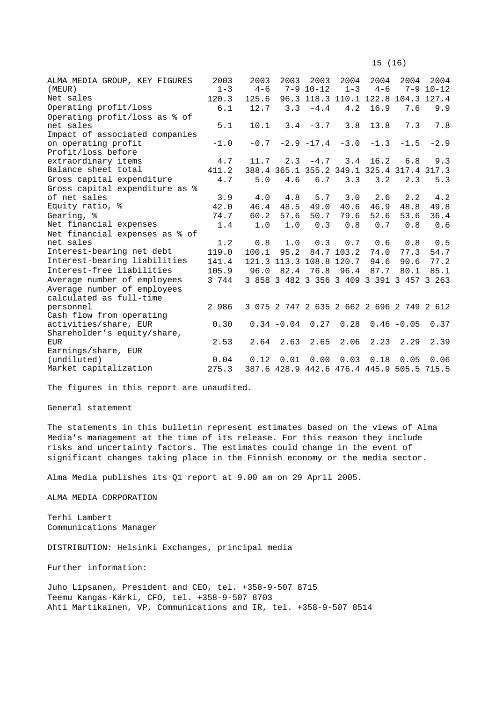15 (16)

| ALMA MEDIA GROUP, KEY FIGURES  | 2003    | 2003    | 2003          | 2003          | 2004                                      | 2004    | 2004          | 2004          |
|--------------------------------|---------|---------|---------------|---------------|-------------------------------------------|---------|---------------|---------------|
| (MEUR)                         | $1 - 3$ | $4 - 6$ |               | $7 - 9$ 10-12 | $1 - 3$                                   | $4 - 6$ |               | $7 - 9$ 10-12 |
| Net sales                      | 120.3   | 125.6   |               |               | 96.3 118.3 110.1 122.8 104.3 127.4        |         |               |               |
| Operating profit/loss          | 6.1     | 12.7    | 3.3           | $-4.4$        | 4.2                                       | 16.9    | 7.6           | 9.9           |
| Operating profit/loss as % of  |         |         |               |               |                                           |         |               |               |
| net sales                      | 5.1     | 10.1    | 3.4           | $-3.7$        | 3.8                                       | 13.8    | 7.3           | 7.8           |
| Impact of associated companies |         |         |               |               |                                           |         |               |               |
| on operating profit            | $-1.0$  |         |               |               | $-0.7$ $-2.9$ $-17.4$ $-3.0$              | $-1.3$  | $-1.5$        | $-2.9$        |
| Profit/loss before             |         |         |               |               |                                           |         |               |               |
| extraordinary items            | 4.7     | 11.7    | 2.3           | $-4.7$        | 3.4                                       | 16.2    | 6.8           | 9.3           |
| Balance sheet total            | 411.2   |         |               |               | 388.4 365.1 355.2 349.1 325.4 317.4 317.3 |         |               |               |
| Gross capital expenditure      | 4.7     | 5.0     | 4.6           | 6.7           | 3.3                                       | 3.2     | 2.3           | 5.3           |
| Gross capital expenditure as % |         |         |               |               |                                           |         |               |               |
| of net sales                   | 3.9     | 4.0     | 4.8           | 5.7           | 3.0                                       | 2.6     | 2.2           | 4.2           |
| Equity ratio, %                | 42.0    | 46.4    | 48.5          | 49.0          | 40.6                                      | 46.9    | 48.8          | 49.8          |
| Gearing, %                     | 74.7    | 60.2    | 57.6          | 50.7          | 79.6                                      | 52.6    | 53.6          | 36.4          |
| Net financial expenses         | 1.4     | 1.0     | 1.0           | 0.3           | 0.8                                       | 0.7     | 0.8           | 0.6           |
| Net financial expenses as % of |         |         |               |               |                                           |         |               |               |
| net sales                      | 1.2     | 0.8     | 1.0           | 0.3           | 0.7                                       | 0.6     | 0.8           | 0.5           |
| Interest-bearing net debt      | 119.0   | 100.1   | 95.2          |               | 84.7 103.2                                | 74.0    | 77.3          | 54.7          |
| Interest-bearing liabilities   | 141.4   |         |               |               | 121.3 113.3 108.8 120.7                   | 94.6    | 90.6          | 77.2          |
| Interest-free liabilities      | 105.9   | 96.0    | 82.4          | 76.8          | 96.4                                      | 87.7    | 80.1          | 85.1          |
| Average number of employees    | 3 744   |         |               |               | 3 858 3 482 3 356 3 409 3 391 3 457 3 263 |         |               |               |
| Average number of employees    |         |         |               |               |                                           |         |               |               |
| calculated as full-time        |         |         |               |               |                                           |         |               |               |
| personnel                      | 2 986   |         |               |               | 3 075 2 747 2 635 2 662 2 696 2 749 2 612 |         |               |               |
| Cash flow from operating       |         |         |               |               |                                           |         |               |               |
| activities/share, EUR          | 0.30    |         | $0.34 - 0.04$ | 0.27          | 0.28                                      |         | $0.46 - 0.05$ | 0.37          |
| Shareholder's equity/share,    |         |         |               |               |                                           |         |               |               |
| <b>EUR</b>                     | 2.53    | 2.64    | 2.63          | 2.65          | 2.06                                      | 2.23    | 2.29          | 2.39          |
| Earnings/share, EUR            |         |         |               |               |                                           |         |               |               |
| (undiluted)                    | 0.04    | 0.12    | 0.01          | 0.00          | 0.03                                      | 0.18    | 0.05          | 0.06          |
| Market capitalization          | 275.3   |         |               |               | 387.6 428.9 442.6 476.4 445.9 505.5 715.5 |         |               |               |
|                                |         |         |               |               |                                           |         |               |               |

The figures in this report are unaudited.

General statement

The statements in this bulletin represent estimates based on the views of Alma Media's management at the time of its release. For this reason they include risks and uncertainty factors. The estimates could change in the event of significant changes taking place in the Finnish economy or the media sector.

Alma Media publishes its Q1 report at 9.00 am on 29 April 2005.

ALMA MEDIA CORPORATION

Terhi Lambert Communications Manager

DISTRIBUTION: Helsinki Exchanges, principal media

Further information:

Juho Lipsanen, President and CEO, tel. +358-9-507 8715 Teemu Kangas-Kärki, CFO, tel. +358-9-507 8703 Ahti Martikainen, VP, Communications and IR, tel. +358-9-507 8514